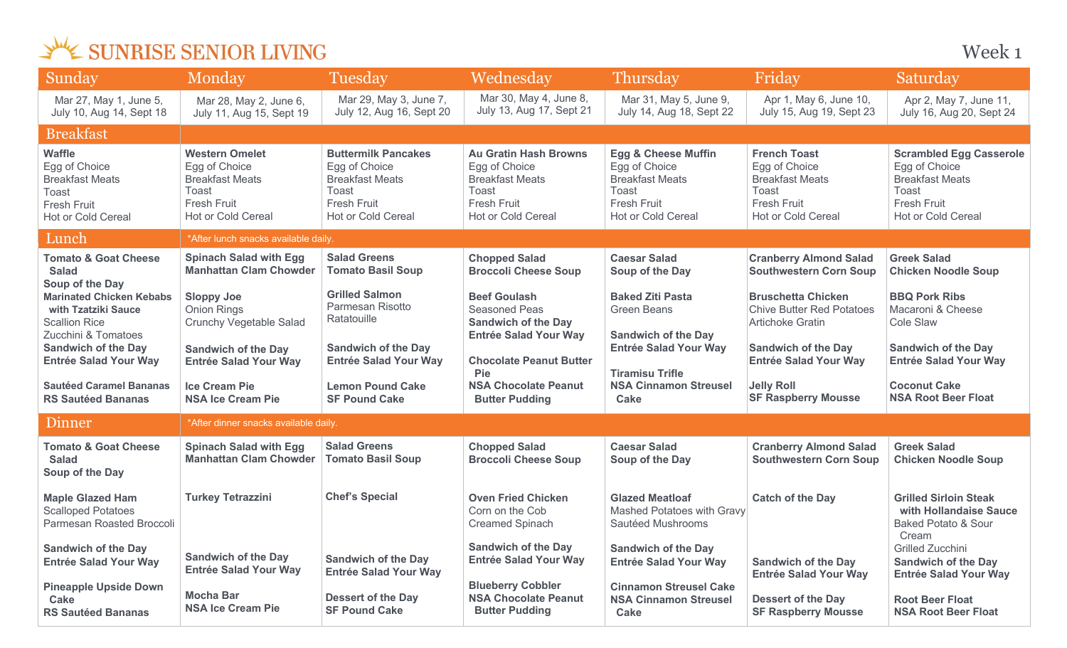| Sunday                                                                                                               | Monday                                                                                                         | Tuesday                                                                                                                           | Wednesday                                                                                                                           | <b>Thursday</b>                                                                                                                | Friday                                                                                                                     | Saturday                                                                                                                       |
|----------------------------------------------------------------------------------------------------------------------|----------------------------------------------------------------------------------------------------------------|-----------------------------------------------------------------------------------------------------------------------------------|-------------------------------------------------------------------------------------------------------------------------------------|--------------------------------------------------------------------------------------------------------------------------------|----------------------------------------------------------------------------------------------------------------------------|--------------------------------------------------------------------------------------------------------------------------------|
| Mar 27, May 1, June 5,<br>July 10, Aug 14, Sept 18                                                                   | Mar 28, May 2, June 6,<br>July 11, Aug 15, Sept 19                                                             | Mar 29, May 3, June 7,<br>July 12, Aug 16, Sept 20                                                                                | Mar 30, May 4, June 8,<br>July 13, Aug 17, Sept 21                                                                                  | Mar 31, May 5, June 9,<br>July 14, Aug 18, Sept 22                                                                             | Apr 1, May 6, June 10,<br>July 15, Aug 19, Sept 23                                                                         | Apr 2, May 7, June 11,<br>July 16, Aug 20, Sept 24                                                                             |
| <b>Breakfast</b>                                                                                                     |                                                                                                                |                                                                                                                                   |                                                                                                                                     |                                                                                                                                |                                                                                                                            |                                                                                                                                |
| <b>Waffle</b><br>Egg of Choice<br><b>Breakfast Meats</b><br><b>Toast</b><br><b>Fresh Fruit</b><br>Hot or Cold Cereal | <b>Western Omelet</b><br>Egg of Choice<br><b>Breakfast Meats</b><br>Toast<br>Fresh Fruit<br>Hot or Cold Cereal | <b>Buttermilk Pancakes</b><br>Egg of Choice<br><b>Breakfast Meats</b><br>Toast<br><b>Fresh Fruit</b><br><b>Hot or Cold Cereal</b> | <b>Au Gratin Hash Browns</b><br>Egg of Choice<br><b>Breakfast Meats</b><br>Toast<br><b>Fresh Fruit</b><br><b>Hot or Cold Cereal</b> | <b>Egg &amp; Cheese Muffin</b><br>Egg of Choice<br><b>Breakfast Meats</b><br>Toast<br><b>Fresh Fruit</b><br>Hot or Cold Cereal | <b>French Toast</b><br>Egg of Choice<br><b>Breakfast Meats</b><br>Toast<br><b>Fresh Fruit</b><br><b>Hot or Cold Cereal</b> | <b>Scrambled Egg Casserole</b><br>Egg of Choice<br><b>Breakfast Meats</b><br>Toast<br><b>Fresh Fruit</b><br>Hot or Cold Cereal |
| Lunch                                                                                                                | *After lunch snacks available daily.                                                                           |                                                                                                                                   |                                                                                                                                     |                                                                                                                                |                                                                                                                            |                                                                                                                                |
| <b>Tomato &amp; Goat Cheese</b><br><b>Salad</b><br>Soup of the Day                                                   | <b>Spinach Salad with Egg</b><br><b>Manhattan Clam Chowder</b>                                                 | <b>Salad Greens</b><br><b>Tomato Basil Soup</b>                                                                                   | <b>Chopped Salad</b><br><b>Broccoli Cheese Soup</b>                                                                                 | <b>Caesar Salad</b><br>Soup of the Day                                                                                         | <b>Cranberry Almond Salad</b><br><b>Southwestern Corn Soup</b>                                                             | <b>Greek Salad</b><br><b>Chicken Noodle Soup</b>                                                                               |
| <b>Marinated Chicken Kebabs</b><br>with Tzatziki Sauce<br><b>Scallion Rice</b><br>Zucchini & Tomatoes                | <b>Sloppy Joe</b><br><b>Onion Rings</b><br><b>Crunchy Vegetable Salad</b>                                      | <b>Grilled Salmon</b><br>Parmesan Risotto<br>Ratatouille                                                                          | <b>Beef Goulash</b><br><b>Seasoned Peas</b><br><b>Sandwich of the Day</b><br><b>Entrée Salad Your Way</b>                           | <b>Baked Ziti Pasta</b><br><b>Green Beans</b><br><b>Sandwich of the Day</b>                                                    | <b>Bruschetta Chicken</b><br><b>Chive Butter Red Potatoes</b><br><b>Artichoke Gratin</b>                                   | <b>BBQ Pork Ribs</b><br>Macaroni & Cheese<br>Cole Slaw                                                                         |
| <b>Sandwich of the Day</b><br><b>Entrée Salad Your Way</b>                                                           | <b>Sandwich of the Day</b><br><b>Entrée Salad Your Way</b>                                                     | <b>Sandwich of the Day</b><br><b>Entrée Salad Your Way</b>                                                                        | <b>Chocolate Peanut Butter</b><br><b>Pie</b>                                                                                        | <b>Entrée Salad Your Way</b><br><b>Tiramisu Trifle</b>                                                                         | <b>Sandwich of the Day</b><br><b>Entrée Salad Your Way</b>                                                                 | <b>Sandwich of the Day</b><br><b>Entrée Salad Your Way</b>                                                                     |
| <b>Sautéed Caramel Bananas</b><br><b>RS Sautéed Bananas</b>                                                          | <b>Ice Cream Pie</b><br><b>NSA Ice Cream Pie</b>                                                               | <b>Lemon Pound Cake</b><br><b>SF Pound Cake</b>                                                                                   | <b>NSA Chocolate Peanut</b><br><b>Butter Pudding</b>                                                                                | <b>NSA Cinnamon Streusel</b><br><b>Cake</b>                                                                                    | <b>Jelly Roll</b><br><b>SF Raspberry Mousse</b>                                                                            | <b>Coconut Cake</b><br><b>NSA Root Beer Float</b>                                                                              |
| Dinner                                                                                                               | *After dinner snacks available daily.                                                                          |                                                                                                                                   |                                                                                                                                     |                                                                                                                                |                                                                                                                            |                                                                                                                                |
| <b>Tomato &amp; Goat Cheese</b><br><b>Salad</b><br>Soup of the Day                                                   | <b>Spinach Salad with Egg</b><br><b>Manhattan Clam Chowder</b>                                                 | <b>Salad Greens</b><br><b>Tomato Basil Soup</b>                                                                                   | <b>Chopped Salad</b><br><b>Broccoli Cheese Soup</b>                                                                                 | <b>Caesar Salad</b><br>Soup of the Day                                                                                         | <b>Cranberry Almond Salad</b><br><b>Southwestern Corn Soup</b>                                                             | <b>Greek Salad</b><br><b>Chicken Noodle Soup</b>                                                                               |
| <b>Maple Glazed Ham</b><br><b>Scalloped Potatoes</b><br>Parmesan Roasted Broccoli                                    | <b>Turkey Tetrazzini</b>                                                                                       | <b>Chef's Special</b>                                                                                                             | <b>Oven Fried Chicken</b><br>Corn on the Cob<br><b>Creamed Spinach</b>                                                              | <b>Glazed Meatloaf</b><br>Mashed Potatoes with Gravy<br>Sautéed Mushrooms                                                      | <b>Catch of the Day</b>                                                                                                    | <b>Grilled Sirloin Steak</b><br>with Hollandaise Sauce<br><b>Baked Potato &amp; Sour</b><br>Cream                              |
| <b>Sandwich of the Day</b><br><b>Entrée Salad Your Way</b>                                                           | <b>Sandwich of the Day</b><br><b>Entrée Salad Your Way</b>                                                     | <b>Sandwich of the Day</b><br><b>Entrée Salad Your Way</b>                                                                        | <b>Sandwich of the Day</b><br><b>Entrée Salad Your Way</b>                                                                          | <b>Sandwich of the Day</b><br><b>Entrée Salad Your Way</b>                                                                     | <b>Sandwich of the Day</b><br><b>Entrée Salad Your Way</b>                                                                 | <b>Grilled Zucchini</b><br><b>Sandwich of the Day</b><br><b>Entrée Salad Your Way</b>                                          |
| <b>Pineapple Upside Down</b><br>Cake<br><b>RS Sautéed Bananas</b>                                                    | <b>Mocha Bar</b><br><b>NSA Ice Cream Pie</b>                                                                   | <b>Dessert of the Day</b><br><b>SF Pound Cake</b>                                                                                 | <b>Blueberry Cobbler</b><br><b>NSA Chocolate Peanut</b><br><b>Butter Pudding</b>                                                    | <b>Cinnamon Streusel Cake</b><br><b>NSA Cinnamon Streusel</b><br><b>Cake</b>                                                   | <b>Dessert of the Day</b><br><b>SF Raspberry Mousse</b>                                                                    | <b>Root Beer Float</b><br><b>NSA Root Beer Float</b>                                                                           |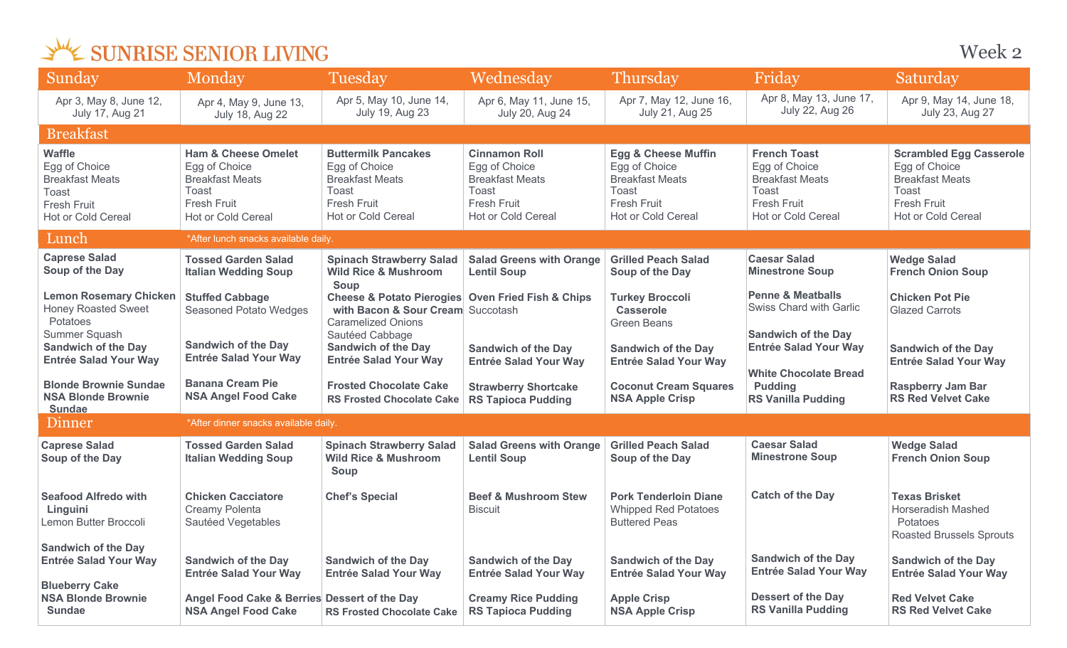| Sunday                                                                                                                                                 | Monday                                                                                                                         | Tuesday                                                                                                                                                                                                                     | Wednesday                                                                                                            | <b>Thursday</b>                                                                                                                | Friday                                                                                                                     | Saturday                                                                                                                              |  |
|--------------------------------------------------------------------------------------------------------------------------------------------------------|--------------------------------------------------------------------------------------------------------------------------------|-----------------------------------------------------------------------------------------------------------------------------------------------------------------------------------------------------------------------------|----------------------------------------------------------------------------------------------------------------------|--------------------------------------------------------------------------------------------------------------------------------|----------------------------------------------------------------------------------------------------------------------------|---------------------------------------------------------------------------------------------------------------------------------------|--|
| Apr 3, May 8, June 12,<br><b>July 17, Aug 21</b>                                                                                                       | Apr 4, May 9, June 13,<br><b>July 18, Aug 22</b>                                                                               | Apr 5, May 10, June 14,<br>July 19, Aug 23                                                                                                                                                                                  | Apr 6, May 11, June 15,<br><b>July 20, Aug 24</b>                                                                    | Apr 7, May 12, June 16,<br>July 21, Aug 25                                                                                     | Apr 8, May 13, June 17,<br>July 22, Aug 26                                                                                 | Apr 9, May 14, June 18,<br>July 23, Aug 27                                                                                            |  |
| <b>Breakfast</b>                                                                                                                                       |                                                                                                                                |                                                                                                                                                                                                                             |                                                                                                                      |                                                                                                                                |                                                                                                                            |                                                                                                                                       |  |
| <b>Waffle</b><br>Egg of Choice<br><b>Breakfast Meats</b><br>Toast<br><b>Fresh Fruit</b><br>Hot or Cold Cereal                                          | <b>Ham &amp; Cheese Omelet</b><br>Egg of Choice<br><b>Breakfast Meats</b><br>Toast<br><b>Fresh Fruit</b><br>Hot or Cold Cereal | <b>Buttermilk Pancakes</b><br>Egg of Choice<br><b>Breakfast Meats</b><br>Toast<br><b>Fresh Fruit</b><br>Hot or Cold Cereal                                                                                                  | <b>Cinnamon Roll</b><br>Egg of Choice<br><b>Breakfast Meats</b><br>Toast<br><b>Fresh Fruit</b><br>Hot or Cold Cereal | <b>Egg &amp; Cheese Muffin</b><br>Egg of Choice<br><b>Breakfast Meats</b><br>Toast<br><b>Fresh Fruit</b><br>Hot or Cold Cereal | <b>French Toast</b><br>Egg of Choice<br><b>Breakfast Meats</b><br>Toast<br><b>Fresh Fruit</b><br><b>Hot or Cold Cereal</b> | <b>Scrambled Egg Casserole</b><br>Egg of Choice<br><b>Breakfast Meats</b><br>Toast<br><b>Fresh Fruit</b><br><b>Hot or Cold Cereal</b> |  |
| Lunch                                                                                                                                                  | *After lunch snacks available daily.                                                                                           |                                                                                                                                                                                                                             |                                                                                                                      |                                                                                                                                |                                                                                                                            |                                                                                                                                       |  |
| <b>Caprese Salad</b><br>Soup of the Day                                                                                                                | <b>Tossed Garden Salad</b><br><b>Italian Wedding Soup</b>                                                                      | <b>Spinach Strawberry Salad</b><br><b>Wild Rice &amp; Mushroom</b>                                                                                                                                                          | <b>Salad Greens with Orange</b><br><b>Lentil Soup</b>                                                                | <b>Grilled Peach Salad</b><br>Soup of the Day                                                                                  | <b>Caesar Salad</b><br><b>Minestrone Soup</b>                                                                              | <b>Wedge Salad</b><br><b>French Onion Soup</b>                                                                                        |  |
| <b>Lemon Rosemary Chicken</b><br><b>Honey Roasted Sweet</b><br>Potatoes<br>Summer Squash<br><b>Sandwich of the Day</b><br><b>Entrée Salad Your Way</b> | <b>Stuffed Cabbage</b><br><b>Seasoned Potato Wedges</b><br><b>Sandwich of the Day</b><br><b>Entrée Salad Your Way</b>          | Soup<br><b>Cheese &amp; Potato Pierogies Oven Fried Fish &amp; Chips</b><br>with Bacon & Sour Cream Succotash<br><b>Caramelized Onions</b><br>Sautéed Cabbage<br><b>Sandwich of the Day</b><br><b>Entrée Salad Your Way</b> | <b>Sandwich of the Day</b><br><b>Entrée Salad Your Way</b>                                                           | <b>Turkey Broccoli</b><br><b>Casserole</b><br><b>Green Beans</b><br><b>Sandwich of the Day</b><br><b>Entrée Salad Your Way</b> | <b>Penne &amp; Meatballs</b><br>Swiss Chard with Garlic<br><b>Sandwich of the Day</b><br><b>Entrée Salad Your Way</b>      | <b>Chicken Pot Pie</b><br><b>Glazed Carrots</b><br><b>Sandwich of the Day</b><br><b>Entrée Salad Your Way</b>                         |  |
| <b>Blonde Brownie Sundae</b><br><b>NSA Blonde Brownie</b><br><b>Sundae</b>                                                                             | <b>Banana Cream Pie</b><br><b>NSA Angel Food Cake</b>                                                                          | <b>Frosted Chocolate Cake</b><br><b>RS Frosted Chocolate Cake</b>                                                                                                                                                           | <b>Strawberry Shortcake</b><br><b>RS Tapioca Pudding</b>                                                             | <b>Coconut Cream Squares</b><br><b>NSA Apple Crisp</b>                                                                         | <b>White Chocolate Bread</b><br><b>Pudding</b><br><b>RS Vanilla Pudding</b>                                                | <b>Raspberry Jam Bar</b><br><b>RS Red Velvet Cake</b>                                                                                 |  |
| Dinner                                                                                                                                                 | *After dinner snacks available daily.                                                                                          |                                                                                                                                                                                                                             |                                                                                                                      |                                                                                                                                |                                                                                                                            |                                                                                                                                       |  |
| <b>Caprese Salad</b><br>Soup of the Day                                                                                                                | <b>Tossed Garden Salad</b><br><b>Italian Wedding Soup</b>                                                                      | <b>Spinach Strawberry Salad</b><br><b>Wild Rice &amp; Mushroom</b><br>Soup                                                                                                                                                  | <b>Salad Greens with Orange</b><br><b>Lentil Soup</b>                                                                | <b>Grilled Peach Salad</b><br>Soup of the Day                                                                                  | <b>Caesar Salad</b><br><b>Minestrone Soup</b>                                                                              | <b>Wedge Salad</b><br><b>French Onion Soup</b>                                                                                        |  |
| <b>Seafood Alfredo with</b><br>Linguini<br>Lemon Butter Broccoli                                                                                       | <b>Chicken Cacciatore</b><br>Creamy Polenta<br>Sautéed Vegetables                                                              | <b>Chef's Special</b>                                                                                                                                                                                                       | <b>Beef &amp; Mushroom Stew</b><br><b>Biscuit</b>                                                                    | <b>Pork Tenderloin Diane</b><br><b>Whipped Red Potatoes</b><br><b>Buttered Peas</b>                                            | <b>Catch of the Day</b>                                                                                                    | <b>Texas Brisket</b><br><b>Horseradish Mashed</b><br>Potatoes<br><b>Roasted Brussels Sprouts</b>                                      |  |
| <b>Sandwich of the Day</b><br><b>Entrée Salad Your Way</b>                                                                                             | <b>Sandwich of the Day</b><br><b>Entrée Salad Your Way</b>                                                                     | <b>Sandwich of the Day</b><br><b>Entrée Salad Your Way</b>                                                                                                                                                                  | <b>Sandwich of the Day</b><br><b>Entrée Salad Your Way</b>                                                           | <b>Sandwich of the Day</b><br><b>Entrée Salad Your Way</b>                                                                     | <b>Sandwich of the Day</b><br><b>Entrée Salad Your Way</b>                                                                 | <b>Sandwich of the Day</b><br><b>Entrée Salad Your Way</b>                                                                            |  |
| <b>Blueberry Cake</b><br><b>NSA Blonde Brownie</b><br><b>Sundae</b>                                                                                    | Angel Food Cake & Berries Dessert of the Day<br><b>NSA Angel Food Cake</b>                                                     | <b>RS Frosted Chocolate Cake</b>                                                                                                                                                                                            | <b>Creamy Rice Pudding</b><br><b>RS Tapioca Pudding</b>                                                              | <b>Apple Crisp</b><br><b>NSA Apple Crisp</b>                                                                                   | <b>Dessert of the Day</b><br><b>RS Vanilla Pudding</b>                                                                     | <b>Red Velvet Cake</b><br><b>RS Red Velvet Cake</b>                                                                                   |  |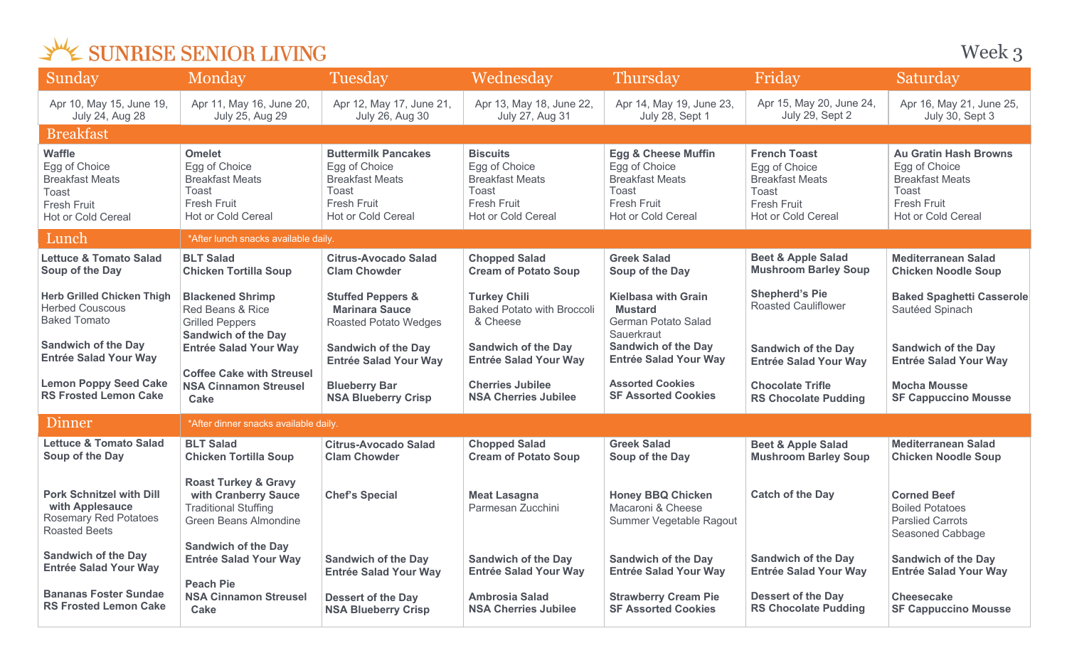Week 3

| Sunday                                                                                                                                           | Monday                                                                                                                              | Tuesday                                                                                                                    | Wednesday                                                                                                              | Thursday                                                                                                                                        | Friday                                                                                                              | Saturday                                                                                                                            |
|--------------------------------------------------------------------------------------------------------------------------------------------------|-------------------------------------------------------------------------------------------------------------------------------------|----------------------------------------------------------------------------------------------------------------------------|------------------------------------------------------------------------------------------------------------------------|-------------------------------------------------------------------------------------------------------------------------------------------------|---------------------------------------------------------------------------------------------------------------------|-------------------------------------------------------------------------------------------------------------------------------------|
| Apr 10, May 15, June 19,<br><b>July 24, Aug 28</b>                                                                                               | Apr 11, May 16, June 20,<br>July 25, Aug 29                                                                                         | Apr 12, May 17, June 21,<br>July 26, Aug 30                                                                                | Apr 13, May 18, June 22,<br>July 27, Aug 31                                                                            | Apr 14, May 19, June 23,<br>July 28, Sept 1                                                                                                     | Apr 15, May 20, June 24,<br>July 29, Sept 2                                                                         | Apr 16, May 21, June 25,<br>July 30, Sept 3                                                                                         |
| <b>Breakfast</b>                                                                                                                                 |                                                                                                                                     |                                                                                                                            |                                                                                                                        |                                                                                                                                                 |                                                                                                                     |                                                                                                                                     |
| <b>Waffle</b><br>Egg of Choice<br><b>Breakfast Meats</b><br>Toast<br><b>Fresh Fruit</b><br>Hot or Cold Cereal                                    | <b>Omelet</b><br>Egg of Choice<br><b>Breakfast Meats</b><br>Toast<br><b>Fresh Fruit</b><br>Hot or Cold Cereal                       | <b>Buttermilk Pancakes</b><br>Egg of Choice<br><b>Breakfast Meats</b><br>Toast<br><b>Fresh Fruit</b><br>Hot or Cold Cereal | <b>Biscuits</b><br>Egg of Choice<br><b>Breakfast Meats</b><br><b>Toast</b><br><b>Fresh Fruit</b><br>Hot or Cold Cereal | <b>Egg &amp; Cheese Muffin</b><br>Egg of Choice<br><b>Breakfast Meats</b><br>Toast<br>Fresh Fruit<br>Hot or Cold Cereal                         | <b>French Toast</b><br>Egg of Choice<br><b>Breakfast Meats</b><br>Toast<br><b>Fresh Fruit</b><br>Hot or Cold Cereal | <b>Au Gratin Hash Browns</b><br>Egg of Choice<br><b>Breakfast Meats</b><br>Toast<br><b>Fresh Fruit</b><br><b>Hot or Cold Cereal</b> |
| Lunch                                                                                                                                            | *After lunch snacks available daily.                                                                                                |                                                                                                                            |                                                                                                                        |                                                                                                                                                 |                                                                                                                     |                                                                                                                                     |
| <b>Lettuce &amp; Tomato Salad</b><br>Soup of the Day                                                                                             | <b>BLT Salad</b><br><b>Chicken Tortilla Soup</b>                                                                                    | <b>Citrus-Avocado Salad</b><br><b>Clam Chowder</b>                                                                         | <b>Chopped Salad</b><br><b>Cream of Potato Soup</b>                                                                    | <b>Greek Salad</b><br>Soup of the Day                                                                                                           | <b>Beet &amp; Apple Salad</b><br><b>Mushroom Barley Soup</b>                                                        | <b>Mediterranean Salad</b><br><b>Chicken Noodle Soup</b>                                                                            |
| <b>Herb Grilled Chicken Thigh</b><br><b>Herbed Couscous</b><br><b>Baked Tomato</b><br><b>Sandwich of the Day</b><br><b>Entrée Salad Your Way</b> | <b>Blackened Shrimp</b><br>Red Beans & Rice<br><b>Grilled Peppers</b><br><b>Sandwich of the Day</b><br><b>Entrée Salad Your Way</b> | <b>Stuffed Peppers &amp;</b><br><b>Marinara Sauce</b><br>Roasted Potato Wedges<br><b>Sandwich of the Day</b>               | <b>Turkey Chili</b><br><b>Baked Potato with Broccoli</b><br>& Cheese<br><b>Sandwich of the Day</b>                     | <b>Kielbasa with Grain</b><br><b>Mustard</b><br>German Potato Salad<br>Sauerkraut<br><b>Sandwich of the Day</b><br><b>Entrée Salad Your Way</b> | <b>Shepherd's Pie</b><br><b>Roasted Cauliflower</b><br><b>Sandwich of the Day</b>                                   | <b>Baked Spaghetti Casserole</b><br>Sautéed Spinach<br><b>Sandwich of the Day</b>                                                   |
| <b>Lemon Poppy Seed Cake</b><br><b>RS Frosted Lemon Cake</b>                                                                                     | <b>Coffee Cake with Streusel</b><br><b>NSA Cinnamon Streusel</b><br><b>Cake</b>                                                     | <b>Entrée Salad Your Way</b><br><b>Blueberry Bar</b><br><b>NSA Blueberry Crisp</b>                                         | <b>Entrée Salad Your Way</b><br><b>Cherries Jubilee</b><br><b>NSA Cherries Jubilee</b>                                 | <b>Assorted Cookies</b><br><b>SF Assorted Cookies</b>                                                                                           | <b>Entrée Salad Your Way</b><br><b>Chocolate Trifle</b><br><b>RS Chocolate Pudding</b>                              | <b>Entrée Salad Your Way</b><br><b>Mocha Mousse</b><br><b>SF Cappuccino Mousse</b>                                                  |
| Dinner                                                                                                                                           | *After dinner snacks available daily.                                                                                               |                                                                                                                            |                                                                                                                        |                                                                                                                                                 |                                                                                                                     |                                                                                                                                     |
| <b>Lettuce &amp; Tomato Salad</b><br>Soup of the Day                                                                                             | <b>BLT Salad</b><br><b>Chicken Tortilla Soup</b>                                                                                    | <b>Citrus-Avocado Salad</b><br><b>Clam Chowder</b>                                                                         | <b>Chopped Salad</b><br><b>Cream of Potato Soup</b>                                                                    | <b>Greek Salad</b><br>Soup of the Day                                                                                                           | <b>Beet &amp; Apple Salad</b><br><b>Mushroom Barley Soup</b>                                                        | <b>Mediterranean Salad</b><br><b>Chicken Noodle Soup</b>                                                                            |
| <b>Pork Schnitzel with Dill</b><br>with Applesauce<br><b>Rosemary Red Potatoes</b><br><b>Roasted Beets</b>                                       | <b>Roast Turkey &amp; Gravy</b><br>with Cranberry Sauce<br><b>Traditional Stuffing</b><br>Green Beans Almondine                     | <b>Chef's Special</b>                                                                                                      | <b>Meat Lasagna</b><br>Parmesan Zucchini                                                                               | <b>Honey BBQ Chicken</b><br>Macaroni & Cheese<br>Summer Vegetable Ragout                                                                        | <b>Catch of the Day</b>                                                                                             | <b>Corned Beef</b><br><b>Boiled Potatoes</b><br><b>Parslied Carrots</b><br>Seasoned Cabbage                                         |
| <b>Sandwich of the Day</b><br><b>Entrée Salad Your Way</b>                                                                                       | <b>Sandwich of the Day</b><br><b>Entrée Salad Your Way</b>                                                                          | <b>Sandwich of the Day</b><br><b>Entrée Salad Your Way</b>                                                                 | <b>Sandwich of the Day</b><br><b>Entrée Salad Your Way</b>                                                             | <b>Sandwich of the Day</b><br><b>Entrée Salad Your Way</b>                                                                                      | <b>Sandwich of the Day</b><br><b>Entrée Salad Your Way</b>                                                          | <b>Sandwich of the Day</b><br><b>Entrée Salad Your Way</b>                                                                          |
| <b>Bananas Foster Sundae</b><br><b>RS Frosted Lemon Cake</b>                                                                                     | <b>Peach Pie</b><br><b>NSA Cinnamon Streusel</b><br>Cake                                                                            | <b>Dessert of the Day</b><br><b>NSA Blueberry Crisp</b>                                                                    | <b>Ambrosia Salad</b><br><b>NSA Cherries Jubilee</b>                                                                   | <b>Strawberry Cream Pie</b><br><b>SF Assorted Cookies</b>                                                                                       | <b>Dessert of the Day</b><br><b>RS Chocolate Pudding</b>                                                            | <b>Cheesecake</b><br><b>SF Cappuccino Mousse</b>                                                                                    |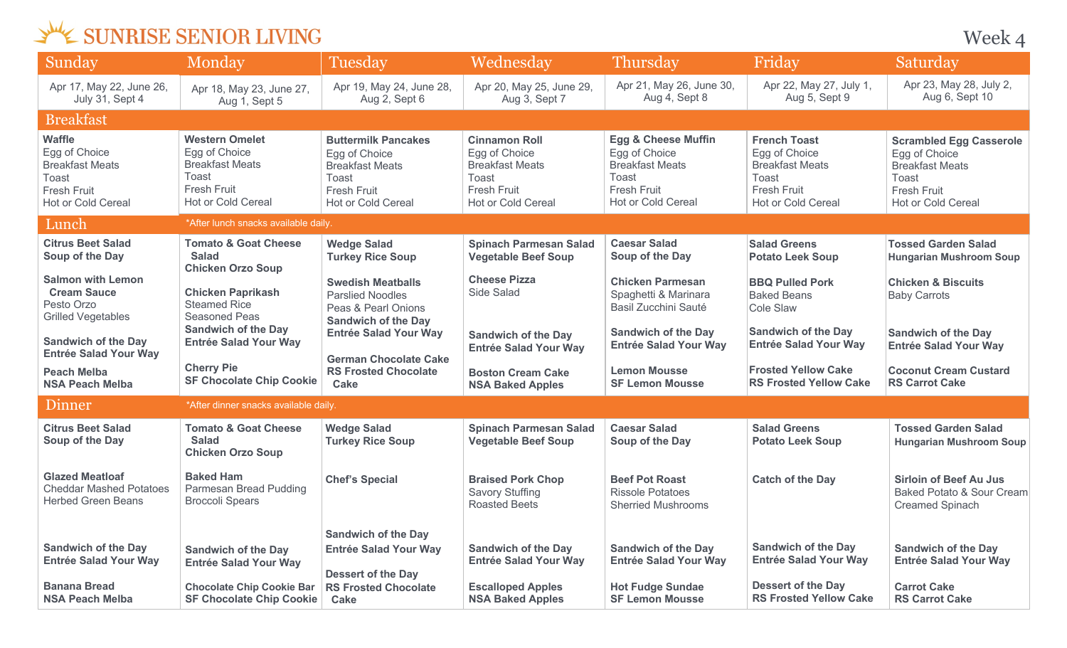Week 4

| Sunday                                                                                                               | Monday                                                                                                                | Tuesday                                                                                                                                  | Wednesday                                                                                                            | Thursday                                                                                                                              | Friday                                                                                                                            | Saturday                                                                                                                       |  |
|----------------------------------------------------------------------------------------------------------------------|-----------------------------------------------------------------------------------------------------------------------|------------------------------------------------------------------------------------------------------------------------------------------|----------------------------------------------------------------------------------------------------------------------|---------------------------------------------------------------------------------------------------------------------------------------|-----------------------------------------------------------------------------------------------------------------------------------|--------------------------------------------------------------------------------------------------------------------------------|--|
| Apr 17, May 22, June 26,<br>July 31, Sept 4                                                                          | Apr 18, May 23, June 27,<br>Aug 1, Sept 5                                                                             | Apr 19, May 24, June 28,<br>Aug 2, Sept 6                                                                                                | Apr 20, May 25, June 29,<br>Aug 3, Sept 7                                                                            | Apr 21, May 26, June 30,<br>Aug 4, Sept 8                                                                                             | Apr 22, May 27, July 1,<br>Aug 5, Sept 9                                                                                          | Apr 23, May 28, July 2,<br>Aug 6, Sept 10                                                                                      |  |
| <b>Breakfast</b>                                                                                                     |                                                                                                                       |                                                                                                                                          |                                                                                                                      |                                                                                                                                       |                                                                                                                                   |                                                                                                                                |  |
| <b>Waffle</b><br>Egg of Choice<br><b>Breakfast Meats</b><br>Toast<br><b>Fresh Fruit</b><br><b>Hot or Cold Cereal</b> | <b>Western Omelet</b><br>Egg of Choice<br><b>Breakfast Meats</b><br>Toast<br>Fresh Fruit<br><b>Hot or Cold Cereal</b> | <b>Buttermilk Pancakes</b><br>Egg of Choice<br><b>Breakfast Meats</b><br>Toast<br><b>Fresh Fruit</b><br><b>Hot or Cold Cereal</b>        | <b>Cinnamon Roll</b><br>Egg of Choice<br><b>Breakfast Meats</b><br>Toast<br>Fresh Fruit<br><b>Hot or Cold Cereal</b> | <b>Egg &amp; Cheese Muffin</b><br>Egg of Choice<br><b>Breakfast Meats</b><br><b>Toast</b><br><b>Fresh Fruit</b><br>Hot or Cold Cereal | <b>French Toast</b><br>Egg of Choice<br><b>Breakfast Meats</b><br><b>Toast</b><br><b>Fresh Fruit</b><br><b>Hot or Cold Cereal</b> | <b>Scrambled Egg Casserole</b><br>Egg of Choice<br><b>Breakfast Meats</b><br>Toast<br><b>Fresh Fruit</b><br>Hot or Cold Cereal |  |
| Lunch                                                                                                                | *After lunch snacks available daily.                                                                                  |                                                                                                                                          |                                                                                                                      |                                                                                                                                       |                                                                                                                                   |                                                                                                                                |  |
| <b>Citrus Beet Salad</b><br>Soup of the Day                                                                          | <b>Tomato &amp; Goat Cheese</b><br><b>Salad</b><br><b>Chicken Orzo Soup</b>                                           | <b>Wedge Salad</b><br><b>Turkey Rice Soup</b>                                                                                            | <b>Spinach Parmesan Salad</b><br><b>Vegetable Beef Soup</b>                                                          | <b>Caesar Salad</b><br>Soup of the Day                                                                                                | <b>Salad Greens</b><br><b>Potato Leek Soup</b>                                                                                    | <b>Tossed Garden Salad</b><br><b>Hungarian Mushroom Soup</b>                                                                   |  |
| <b>Salmon with Lemon</b><br><b>Cream Sauce</b><br>Pesto Orzo<br><b>Grilled Vegetables</b>                            | <b>Chicken Paprikash</b><br><b>Steamed Rice</b><br>Seasoned Peas<br><b>Sandwich of the Day</b>                        | <b>Swedish Meatballs</b><br><b>Parslied Noodles</b><br>Peas & Pearl Onions<br><b>Sandwich of the Day</b><br><b>Entrée Salad Your Way</b> | <b>Cheese Pizza</b><br>Side Salad<br><b>Sandwich of the Day</b>                                                      | <b>Chicken Parmesan</b><br>Spaghetti & Marinara<br>Basil Zucchini Sauté<br><b>Sandwich of the Day</b>                                 | <b>BBQ Pulled Pork</b><br><b>Baked Beans</b><br>Cole Slaw<br><b>Sandwich of the Day</b>                                           | <b>Chicken &amp; Biscuits</b><br><b>Baby Carrots</b><br><b>Sandwich of the Day</b>                                             |  |
| <b>Sandwich of the Day</b><br><b>Entrée Salad Your Way</b>                                                           | <b>Entrée Salad Your Way</b>                                                                                          | <b>German Chocolate Cake</b>                                                                                                             | <b>Entrée Salad Your Way</b>                                                                                         | <b>Entrée Salad Your Way</b>                                                                                                          | <b>Entrée Salad Your Way</b>                                                                                                      | <b>Entrée Salad Your Way</b>                                                                                                   |  |
| <b>Peach Melba</b><br><b>NSA Peach Melba</b>                                                                         | <b>Cherry Pie</b><br><b>SF Chocolate Chip Cookie</b>                                                                  | <b>RS Frosted Chocolate</b><br>Cake                                                                                                      | <b>Boston Cream Cake</b><br><b>NSA Baked Apples</b>                                                                  | <b>Lemon Mousse</b><br><b>SF Lemon Mousse</b>                                                                                         | <b>Frosted Yellow Cake</b><br><b>RS Frosted Yellow Cake</b>                                                                       | <b>Coconut Cream Custard</b><br><b>RS Carrot Cake</b>                                                                          |  |
| Dinner                                                                                                               | *After dinner snacks available daily.                                                                                 |                                                                                                                                          |                                                                                                                      |                                                                                                                                       |                                                                                                                                   |                                                                                                                                |  |
| <b>Citrus Beet Salad</b><br>Soup of the Day                                                                          | <b>Tomato &amp; Goat Cheese</b><br><b>Salad</b><br><b>Chicken Orzo Soup</b>                                           | <b>Wedge Salad</b><br><b>Turkey Rice Soup</b>                                                                                            | <b>Spinach Parmesan Salad</b><br><b>Vegetable Beef Soup</b>                                                          | <b>Caesar Salad</b><br>Soup of the Day                                                                                                | <b>Salad Greens</b><br><b>Potato Leek Soup</b>                                                                                    | <b>Tossed Garden Salad</b><br><b>Hungarian Mushroom Soup</b>                                                                   |  |
| <b>Glazed Meatloaf</b><br><b>Cheddar Mashed Potatoes</b><br><b>Herbed Green Beans</b>                                | <b>Baked Ham</b><br>Parmesan Bread Pudding<br><b>Broccoli Spears</b>                                                  | <b>Chef's Special</b>                                                                                                                    | <b>Braised Pork Chop</b><br><b>Savory Stuffing</b><br><b>Roasted Beets</b>                                           | <b>Beef Pot Roast</b><br><b>Rissole Potatoes</b><br><b>Sherried Mushrooms</b>                                                         | <b>Catch of the Day</b>                                                                                                           | <b>Sirloin of Beef Au Jus</b><br>Baked Potato & Sour Cream<br><b>Creamed Spinach</b>                                           |  |
| <b>Sandwich of the Day</b><br><b>Entrée Salad Your Way</b><br><b>Banana Bread</b>                                    | <b>Sandwich of the Day</b><br><b>Entrée Salad Your Way</b><br><b>Chocolate Chip Cookie Bar</b>                        | <b>Sandwich of the Day</b><br><b>Entrée Salad Your Way</b><br><b>Dessert of the Day</b><br><b>RS Frosted Chocolate</b>                   | <b>Sandwich of the Day</b><br><b>Entrée Salad Your Way</b><br><b>Escalloped Apples</b>                               | <b>Sandwich of the Day</b><br><b>Entrée Salad Your Way</b><br><b>Hot Fudge Sundae</b>                                                 | <b>Sandwich of the Day</b><br><b>Entrée Salad Your Way</b><br><b>Dessert of the Day</b>                                           | <b>Sandwich of the Day</b><br><b>Entrée Salad Your Way</b><br><b>Carrot Cake</b>                                               |  |
| <b>NSA Peach Melba</b>                                                                                               | <b>SF Chocolate Chip Cookie</b>                                                                                       | Cake                                                                                                                                     | <b>NSA Baked Apples</b>                                                                                              | <b>SF Lemon Mousse</b>                                                                                                                | <b>RS Frosted Yellow Cake</b>                                                                                                     | <b>RS Carrot Cake</b>                                                                                                          |  |